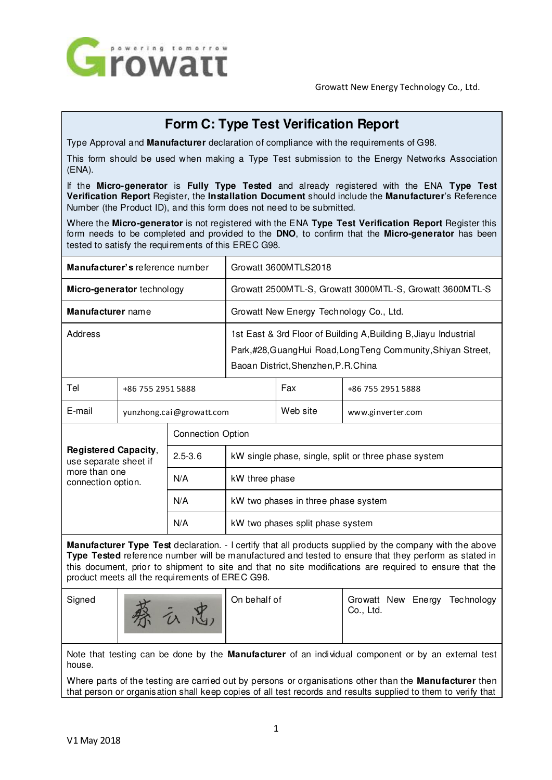

# **Form C: Type Test Verification Report**

Type Approval and **Manufacturer** declaration of compliance with the requirements of G98.

This form should be used when making a Type Test submission to the Energy Networks Association (ENA).

If the **Micro-generator** is **Fully Type Tested** and already registered with the ENA **Type Test Verification Report** Register, the **Installation Document** should include the **Manufacturer**'s Reference Number (the Product ID), and this form does not need to be submitted.

Where the **Micro-generator** is not registered with the ENA **Type Test Verification Report** Register this form needs to be completed and provided to the **DNO**, to confirm that the **Micro-generator** has been tested to satisfy the requirements of this EREC G98.

|                                                              | Manufacturer's reference number | Growatt 3600MTLS2018                                                                                                                                                     |  |                   |  |
|--------------------------------------------------------------|---------------------------------|--------------------------------------------------------------------------------------------------------------------------------------------------------------------------|--|-------------------|--|
|                                                              | Micro-generator technology      | Growatt 2500MTL-S, Growatt 3000MTL-S, Growatt 3600MTL-S                                                                                                                  |  |                   |  |
| Manufacturer name<br>Growatt New Energy Technology Co., Ltd. |                                 |                                                                                                                                                                          |  |                   |  |
| Address                                                      |                                 | 1st East & 3rd Floor of Building A, Building B, Jiayu Industrial<br>Park,#28, Guang Hui Road, Long Teng Community, Shiyan Street,<br>Baoan District, Shenzhen, P.R.China |  |                   |  |
| Tel                                                          | +86 755 2951 5888               |                                                                                                                                                                          |  | +86 755 2951 5888 |  |

| E-mail<br>yunzhong.cai@growatt.com                                                          |  |                          |                                                      | Web site | www.ginverter.com |  |  |  |  |
|---------------------------------------------------------------------------------------------|--|--------------------------|------------------------------------------------------|----------|-------------------|--|--|--|--|
| <b>Registered Capacity,</b><br>use separate sheet if<br>more than one<br>connection option. |  | <b>Connection Option</b> |                                                      |          |                   |  |  |  |  |
|                                                                                             |  | $2.5 - 3.6$              | kW single phase, single, split or three phase system |          |                   |  |  |  |  |
|                                                                                             |  | N/A                      | kW three phase                                       |          |                   |  |  |  |  |
|                                                                                             |  | N/A                      | kW two phases in three phase system                  |          |                   |  |  |  |  |
|                                                                                             |  | N/A                      | kW two phases split phase system                     |          |                   |  |  |  |  |

**Manufacturer Type Test** declaration. - I certify that all products supplied by the company with the above **Type Tested** reference number will be manufactured and tested to ensure that they perform as stated in this document, prior to shipment to site and that no site modifications are required to ensure that the product meets all the requirements of EREC G98.



Signed **Connect Act Act Act Act On behalf of** Growatt New Energy Technology Co., Ltd.

Note that testing can be done by the **Manufacturer** of an individual component or by an external test house.

Where parts of the testing are carried out by persons or organisations other than the **Manufacturer** then that person or organisation shall keep copies of all test records and results supplied to them to verify that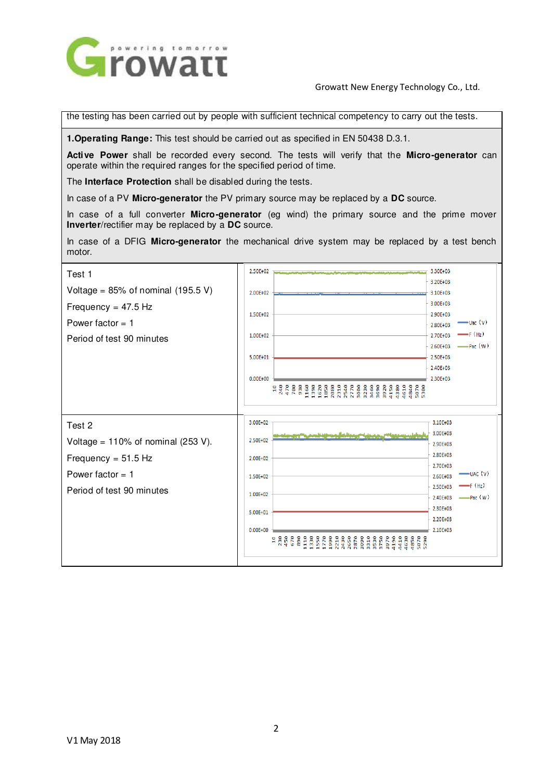

the testing has been carried out by people with sufficient technical competency to carry out the tests.

**1.Operating Range:** This test should be carried out as specified in EN 50438 D.3.1.

**Active Power** shall be recorded every second. The tests will verify that the **Micro-generator** can operate within the required ranges for the specified period of time.

The **Interface Protection** shall be disabled during the tests.

In case of a PV **Micro-generator** the PV primary source may be replaced by a **DC** source.

In case of a full converter **Micro-generator** (eg wind) the primary source and the prime mover **Inverter**/rectifier may be replaced by a **DC** source.

In case of a DFIG **Micro-generator** the mechanical drive system may be replaced by a test bench motor.

| Test 1                                | 2.50E+02<br>3.30E+03<br>anna, a chaidh a duinteach a bhain a chaid a<br><b><i><u>A BANDA ARAHA</u></i></b> |
|---------------------------------------|------------------------------------------------------------------------------------------------------------|
| Voltage = $85\%$ of nominal (195.5 V) | 3.20E+03<br>2.00E+02<br>3.10E+03                                                                           |
|                                       | 3.00E+03                                                                                                   |
| Frequency = $47.5$ Hz                 | 1.50E+02<br>2.90E+03                                                                                       |
| Power factor $= 1$                    | $-$ Uac $(V)$<br>2.80E+03                                                                                  |
| Period of test 90 minutes             | $-$ F $(Hz)$<br>1.00E+02<br>2.70E+03                                                                       |
|                                       | $-\mathsf{p}_{\text{ac}}(w)$<br>2.60E+03<br>5.00E+01<br>2.50E+03                                           |
|                                       | 2.40E+03                                                                                                   |
|                                       | 2.30E+03<br>$0.00E + 00$                                                                                   |
|                                       |                                                                                                            |
|                                       |                                                                                                            |
|                                       |                                                                                                            |
| Test 2                                | 3.00E+02<br>3.10E103<br>3.00E+03                                                                           |
| Voltage = $110\%$ of nominal (253 V). | 2.50E+02<br>2.90E+03                                                                                       |
| Frequency = $51.5$ Hz                 | 2.80E+03<br>$2.00E + 02$                                                                                   |
| Power factor $= 1$                    | 2.70E+03<br>$=$ UAC $\left(\mathsf{V}\right)$<br>2.60E+03<br>150F+02                                       |
| Period of test 90 minutes             | $\rightarrow$ F (Hz)<br>2.50E+03                                                                           |
|                                       | 1.00E+02<br>$-\text{Par}(W)$<br>2.40E+03                                                                   |
|                                       | 2.30E+03<br>5.00E+01                                                                                       |
|                                       | 2.20E+03                                                                                                   |
|                                       | 2.10E+03<br>$0.00E + 00$                                                                                   |
|                                       | 5070<br>5290<br>유                                                                                          |
|                                       |                                                                                                            |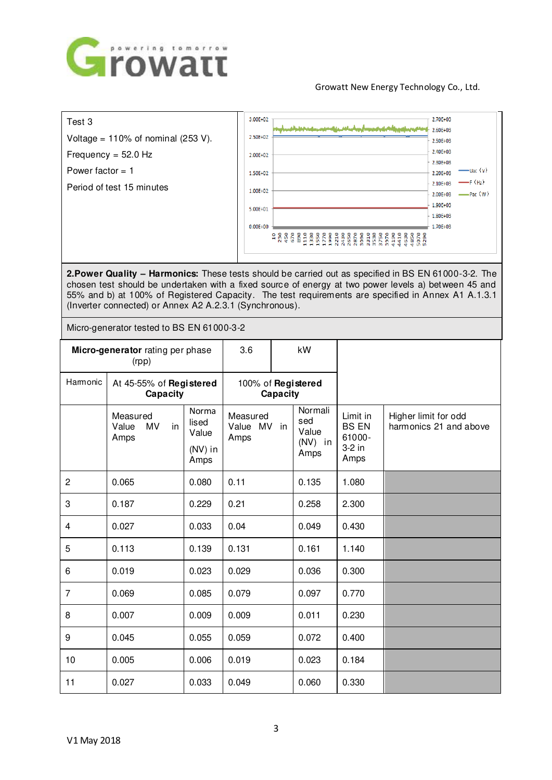

| Test 3                                | 3.00E+02     | 2.70E+03<br>والمستحدث والاستعمار والمتحدة<br>2.60E+03 |  |
|---------------------------------------|--------------|-------------------------------------------------------|--|
| Voltage = $110\%$ of nominal (253 V). | 2.50E+02     | 2.50E+03                                              |  |
| Frequency = $52.0$ Hz                 | 2.00E+02     | 2.40E+03                                              |  |
| Power factor $= 1$                    | 1.50E+02     | 2.30E+03<br>$-$ Uac $\langle V \rangle$<br>2.20E+03   |  |
| Period of test 15 minutes             | 1.00E+02     | $-$ F (Hz)<br>2.10E+03                                |  |
|                                       |              | $-$ Pac $(W)$<br>2.00E+03<br>1.90E+03                 |  |
|                                       | 5.00E+01     | 1.80E+03                                              |  |
|                                       | $0.00E + 00$ | 1.70E+03                                              |  |
|                                       |              | o<br><b>NNNNMMMMM</b> <del>dd</del><br><b>GGDD</b>    |  |

**2.Power Quality – Harmonics:** These tests should be carried out as specified in BS EN 61000-3-2. The chosen test should be undertaken with a fixed source of energy at two power levels a) between 45 and 55% and b) at 100% of Registered Capacity. The test requirements are specified in Annex A1 A.1.3.1 (Inverter connected) or Annex A2 A.2.3.1 (Synchronous).

Micro-generator tested to BS EN 61000-3-2

| Micro-generator rating per phase<br>(rpp) |                                              |                                              | 3.6                             |  | kW                                           |                                                      |                                                |
|-------------------------------------------|----------------------------------------------|----------------------------------------------|---------------------------------|--|----------------------------------------------|------------------------------------------------------|------------------------------------------------|
| Harmonic                                  | At 45-55% of Registered<br>Capacity          |                                              | 100% of Registered<br>Capacity  |  |                                              |                                                      |                                                |
|                                           | Measured<br>Value<br><b>MV</b><br>in<br>Amps | Norma<br>lised<br>Value<br>$(NV)$ in<br>Amps | Measured<br>Value MV in<br>Amps |  | Normali<br>sed<br>Value<br>$(NV)$ in<br>Amps | Limit in<br><b>BS EN</b><br>61000-<br>3-2 in<br>Amps | Higher limit for odd<br>harmonics 21 and above |
| $\overline{2}$                            | 0.065                                        | 0.080                                        | 0.11                            |  | 0.135                                        | 1.080                                                |                                                |
| 3                                         | 0.187                                        | 0.229                                        | 0.21                            |  | 0.258                                        | 2.300                                                |                                                |
| 4                                         | 0.027                                        | 0.033                                        | 0.04                            |  | 0.049                                        | 0.430                                                |                                                |
| 5                                         | 0.113                                        | 0.139                                        | 0.131                           |  | 0.161                                        | 1.140                                                |                                                |
| 6                                         | 0.019                                        | 0.023                                        | 0.029                           |  | 0.036                                        | 0.300                                                |                                                |
| $\overline{7}$                            | 0.069                                        | 0.085                                        | 0.079                           |  | 0.097                                        | 0.770                                                |                                                |
| 8                                         | 0.007                                        | 0.009                                        | 0.009                           |  | 0.011                                        | 0.230                                                |                                                |
| 9                                         | 0.045                                        | 0.055                                        | 0.059                           |  | 0.072                                        | 0.400                                                |                                                |
| 10                                        | 0.005                                        | 0.006                                        | 0.019                           |  | 0.023                                        | 0.184                                                |                                                |
| 11                                        | 0.027                                        | 0.033                                        | 0.049                           |  | 0.060                                        | 0.330                                                |                                                |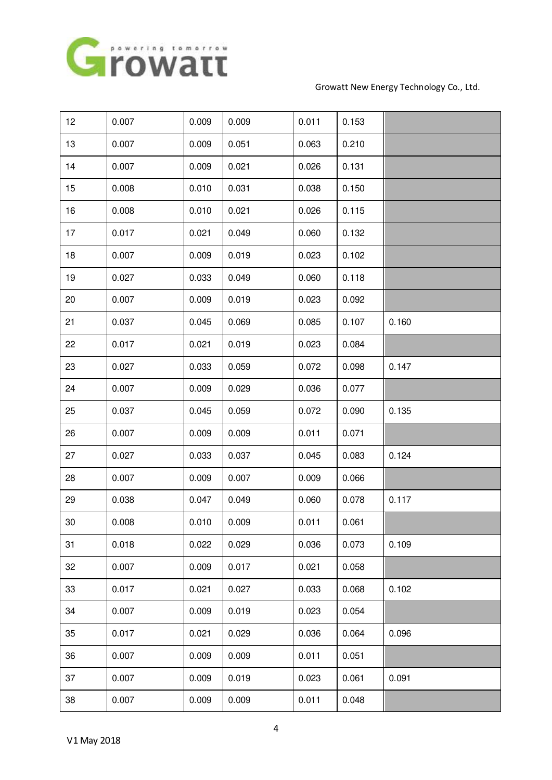

| 12     | 0.007 | 0.009 | 0.009 | 0.011 | 0.153 |       |
|--------|-------|-------|-------|-------|-------|-------|
| 13     | 0.007 | 0.009 | 0.051 | 0.063 | 0.210 |       |
| 14     | 0.007 | 0.009 | 0.021 | 0.026 | 0.131 |       |
| 15     | 0.008 | 0.010 | 0.031 | 0.038 | 0.150 |       |
| 16     | 0.008 | 0.010 | 0.021 | 0.026 | 0.115 |       |
| 17     | 0.017 | 0.021 | 0.049 | 0.060 | 0.132 |       |
| 18     | 0.007 | 0.009 | 0.019 | 0.023 | 0.102 |       |
| 19     | 0.027 | 0.033 | 0.049 | 0.060 | 0.118 |       |
| 20     | 0.007 | 0.009 | 0.019 | 0.023 | 0.092 |       |
| 21     | 0.037 | 0.045 | 0.069 | 0.085 | 0.107 | 0.160 |
| 22     | 0.017 | 0.021 | 0.019 | 0.023 | 0.084 |       |
| 23     | 0.027 | 0.033 | 0.059 | 0.072 | 0.098 | 0.147 |
| 24     | 0.007 | 0.009 | 0.029 | 0.036 | 0.077 |       |
| 25     | 0.037 | 0.045 | 0.059 | 0.072 | 0.090 | 0.135 |
| 26     | 0.007 | 0.009 | 0.009 | 0.011 | 0.071 |       |
| 27     | 0.027 | 0.033 | 0.037 | 0.045 | 0.083 | 0.124 |
| 28     | 0.007 | 0.009 | 0.007 | 0.009 | 0.066 |       |
| 29     | 0.038 | 0.047 | 0.049 | 0.060 | 0.078 | 0.117 |
| $30\,$ | 0.008 | 0.010 | 0.009 | 0.011 | 0.061 |       |
| 31     | 0.018 | 0.022 | 0.029 | 0.036 | 0.073 | 0.109 |
| 32     | 0.007 | 0.009 | 0.017 | 0.021 | 0.058 |       |
| 33     | 0.017 | 0.021 | 0.027 | 0.033 | 0.068 | 0.102 |
| 34     | 0.007 | 0.009 | 0.019 | 0.023 | 0.054 |       |
| 35     | 0.017 | 0.021 | 0.029 | 0.036 | 0.064 | 0.096 |
| 36     | 0.007 | 0.009 | 0.009 | 0.011 | 0.051 |       |
| 37     | 0.007 | 0.009 | 0.019 | 0.023 | 0.061 | 0.091 |
| 38     | 0.007 | 0.009 | 0.009 | 0.011 | 0.048 |       |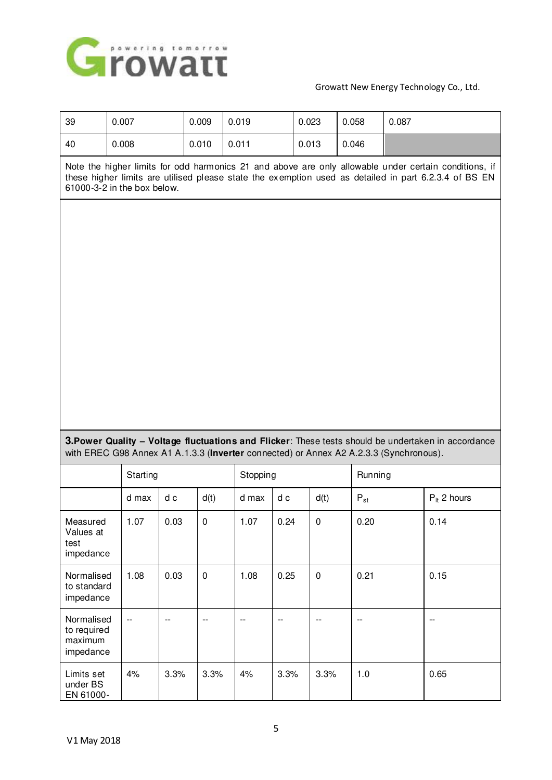

| 39                                     | 0.007                                                                                                                                                                                                                                         |      | 0.009     | 0.019 |                                                                                        | 0.023     | 0.058                    | 0.087   |                                                                                                     |  |
|----------------------------------------|-----------------------------------------------------------------------------------------------------------------------------------------------------------------------------------------------------------------------------------------------|------|-----------|-------|----------------------------------------------------------------------------------------|-----------|--------------------------|---------|-----------------------------------------------------------------------------------------------------|--|
| 40                                     | 0.008                                                                                                                                                                                                                                         |      | 0.010     | 0.011 |                                                                                        | 0.013     | 0.046                    |         |                                                                                                     |  |
|                                        | Note the higher limits for odd harmonics 21 and above are only allowable under certain conditions, if<br>these higher limits are utilised please state the exemption used as detailed in part 6.2.3.4 of BS EN<br>61000-3-2 in the box below. |      |           |       |                                                                                        |           |                          |         |                                                                                                     |  |
|                                        |                                                                                                                                                                                                                                               |      |           |       |                                                                                        |           |                          |         |                                                                                                     |  |
|                                        |                                                                                                                                                                                                                                               |      |           |       |                                                                                        |           |                          |         |                                                                                                     |  |
|                                        |                                                                                                                                                                                                                                               |      |           |       |                                                                                        |           |                          |         |                                                                                                     |  |
|                                        |                                                                                                                                                                                                                                               |      |           |       |                                                                                        |           |                          |         |                                                                                                     |  |
|                                        |                                                                                                                                                                                                                                               |      |           |       |                                                                                        |           |                          |         |                                                                                                     |  |
|                                        |                                                                                                                                                                                                                                               |      |           |       |                                                                                        |           |                          |         |                                                                                                     |  |
|                                        |                                                                                                                                                                                                                                               |      |           |       |                                                                                        |           |                          |         |                                                                                                     |  |
|                                        |                                                                                                                                                                                                                                               |      |           |       |                                                                                        |           |                          |         |                                                                                                     |  |
|                                        |                                                                                                                                                                                                                                               |      |           |       |                                                                                        |           |                          |         |                                                                                                     |  |
|                                        |                                                                                                                                                                                                                                               |      |           |       |                                                                                        |           |                          |         |                                                                                                     |  |
|                                        |                                                                                                                                                                                                                                               |      |           |       |                                                                                        |           |                          |         |                                                                                                     |  |
|                                        |                                                                                                                                                                                                                                               |      |           |       |                                                                                        |           |                          |         | 3. Power Quality - Voltage fluctuations and Flicker: These tests should be undertaken in accordance |  |
|                                        | Starting                                                                                                                                                                                                                                      |      |           |       | with EREC G98 Annex A1 A.1.3.3 (Inverter connected) or Annex A2 A.2.3.3 (Synchronous). |           |                          | Running |                                                                                                     |  |
|                                        |                                                                                                                                                                                                                                               |      |           |       | Stopping                                                                               |           |                          |         |                                                                                                     |  |
|                                        | d max                                                                                                                                                                                                                                         | d c  | d(t)      | d max | d c                                                                                    | d(t)      | $P_{st}$                 |         | $P_{it}$ 2 hours                                                                                    |  |
| Measured<br>Values at<br>test          | 1.07                                                                                                                                                                                                                                          | 0.03 | 0         | 1.07  | 0.24                                                                                   | 0         | 0.20                     |         | 0.14                                                                                                |  |
| impedance                              |                                                                                                                                                                                                                                               |      |           |       |                                                                                        |           |                          |         |                                                                                                     |  |
| Normalised<br>to standard<br>impedance | 1.08                                                                                                                                                                                                                                          | 0.03 | $\pmb{0}$ | 1.08  | 0.25                                                                                   | $\pmb{0}$ | 0.21                     |         | 0.15                                                                                                |  |
| Normalised                             | $\overline{\phantom{a}}$                                                                                                                                                                                                                      | --   | $-$       | $-$   | $-$                                                                                    |           | $\overline{\phantom{a}}$ |         | --                                                                                                  |  |
| to required<br>maximum<br>impedance    |                                                                                                                                                                                                                                               |      |           |       |                                                                                        |           |                          |         |                                                                                                     |  |
| Limits set<br>under BS<br>EN 61000-    | 4%                                                                                                                                                                                                                                            | 3.3% | 3.3%      | 4%    | 3.3%                                                                                   | 3.3%      | 1.0                      |         | 0.65                                                                                                |  |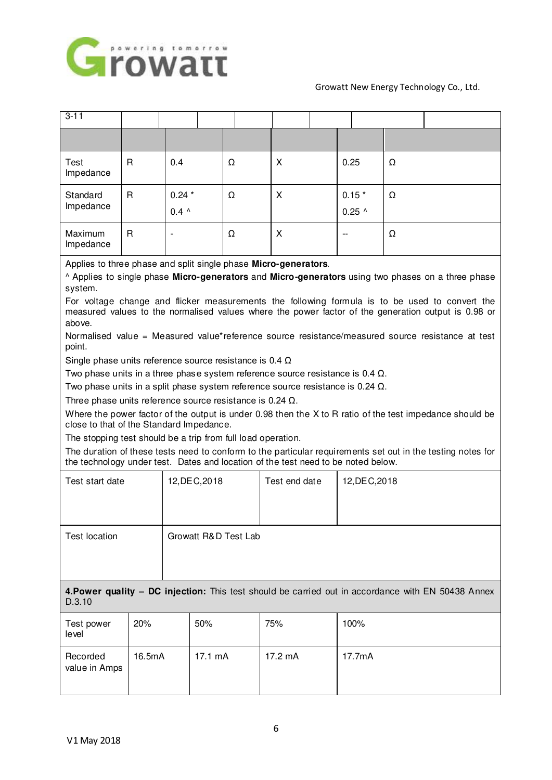

| $3 - 11$                                                                                                                                                                                                                                                                                                                                                                                                                                                                                                                                                                                                                                                                                                                                                                                                                                                                                                                                                                                                                                                                                                                                                                                                                                                              |        |                          |               |                      |               |  |                     |   |                                                                                                    |
|-----------------------------------------------------------------------------------------------------------------------------------------------------------------------------------------------------------------------------------------------------------------------------------------------------------------------------------------------------------------------------------------------------------------------------------------------------------------------------------------------------------------------------------------------------------------------------------------------------------------------------------------------------------------------------------------------------------------------------------------------------------------------------------------------------------------------------------------------------------------------------------------------------------------------------------------------------------------------------------------------------------------------------------------------------------------------------------------------------------------------------------------------------------------------------------------------------------------------------------------------------------------------|--------|--------------------------|---------------|----------------------|---------------|--|---------------------|---|----------------------------------------------------------------------------------------------------|
|                                                                                                                                                                                                                                                                                                                                                                                                                                                                                                                                                                                                                                                                                                                                                                                                                                                                                                                                                                                                                                                                                                                                                                                                                                                                       |        |                          |               |                      |               |  |                     |   |                                                                                                    |
| Test<br>Impedance                                                                                                                                                                                                                                                                                                                                                                                                                                                                                                                                                                                                                                                                                                                                                                                                                                                                                                                                                                                                                                                                                                                                                                                                                                                     | R      | 0.4                      |               | Ω                    | X             |  | 0.25                | Ω |                                                                                                    |
| Standard<br>Impedance                                                                                                                                                                                                                                                                                                                                                                                                                                                                                                                                                                                                                                                                                                                                                                                                                                                                                                                                                                                                                                                                                                                                                                                                                                                 | R      | $0.24*$<br>$0.4 \lambda$ |               | Ω                    | X             |  | $0.15*$<br>$0.25$ ^ | Ω |                                                                                                    |
| Maximum<br>Impedance                                                                                                                                                                                                                                                                                                                                                                                                                                                                                                                                                                                                                                                                                                                                                                                                                                                                                                                                                                                                                                                                                                                                                                                                                                                  | R      |                          |               | Ω                    | X             |  |                     | Ω |                                                                                                    |
| Applies to three phase and split single phase Micro-generators.<br>^ Applies to single phase Micro-generators and Micro-generators using two phases on a three phase<br>system.<br>For voltage change and flicker measurements the following formula is to be used to convert the<br>measured values to the normalised values where the power factor of the generation output is 0.98 or<br>above.<br>Normalised value = Measured value*reference source resistance/measured source resistance at test<br>point.<br>Single phase units reference source resistance is 0.4 $\Omega$<br>Two phase units in a three phase system reference source resistance is $0.4 \Omega$ .<br>Two phase units in a split phase system reference source resistance is $0.24 \Omega$ .<br>Three phase units reference source resistance is $0.24 \Omega$ .<br>Where the power factor of the output is under 0.98 then the X to R ratio of the test impedance should be<br>close to that of the Standard Impedance.<br>The stopping test should be a trip from full load operation.<br>The duration of these tests need to conform to the particular requirements set out in the testing notes for<br>the technology under test. Dates and location of the test need to be noted below. |        |                          |               |                      |               |  |                     |   |                                                                                                    |
| Test start date                                                                                                                                                                                                                                                                                                                                                                                                                                                                                                                                                                                                                                                                                                                                                                                                                                                                                                                                                                                                                                                                                                                                                                                                                                                       |        |                          | 12, DEC, 2018 |                      | Test end date |  | 12, DEC, 2018       |   |                                                                                                    |
| <b>Test location</b>                                                                                                                                                                                                                                                                                                                                                                                                                                                                                                                                                                                                                                                                                                                                                                                                                                                                                                                                                                                                                                                                                                                                                                                                                                                  |        |                          |               | Growatt R&D Test Lab |               |  |                     |   |                                                                                                    |
| D.3.10                                                                                                                                                                                                                                                                                                                                                                                                                                                                                                                                                                                                                                                                                                                                                                                                                                                                                                                                                                                                                                                                                                                                                                                                                                                                |        |                          |               |                      |               |  |                     |   | 4. Power quality - DC injection: This test should be carried out in accordance with EN 50438 Annex |
| Test power<br>level                                                                                                                                                                                                                                                                                                                                                                                                                                                                                                                                                                                                                                                                                                                                                                                                                                                                                                                                                                                                                                                                                                                                                                                                                                                   | 20%    |                          | 50%           |                      | 75%           |  | 100%                |   |                                                                                                    |
| Recorded<br>value in Amps                                                                                                                                                                                                                                                                                                                                                                                                                                                                                                                                                                                                                                                                                                                                                                                                                                                                                                                                                                                                                                                                                                                                                                                                                                             | 16.5mA |                          | 17.1 mA       |                      | 17.2 mA       |  | 17.7mA              |   |                                                                                                    |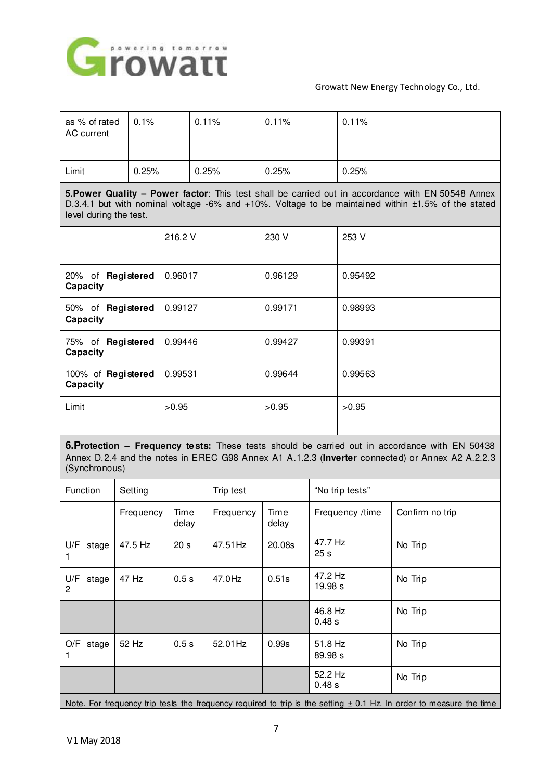

| as % of rated<br>AC current                                                                                                                                                                                                       | 0.1%      |               | 0.11%        | 0.11%         |         | 0.11%           |                                                                                                                                                                                                          |  |
|-----------------------------------------------------------------------------------------------------------------------------------------------------------------------------------------------------------------------------------|-----------|---------------|--------------|---------------|---------|-----------------|----------------------------------------------------------------------------------------------------------------------------------------------------------------------------------------------------------|--|
| Limit                                                                                                                                                                                                                             | 0.25%     |               | 0.25%        | 0.25%         |         | 0.25%           |                                                                                                                                                                                                          |  |
| 5. Power Quality - Power factor: This test shall be carried out in accordance with EN 50548 Annex<br>D.3.4.1 but with nominal voltage -6% and +10%. Voltage to be maintained within ±1.5% of the stated<br>level during the test. |           |               |              |               |         |                 |                                                                                                                                                                                                          |  |
| 216.2 V                                                                                                                                                                                                                           |           |               |              | 230 V         |         | 253 V           |                                                                                                                                                                                                          |  |
| 20% of Registered<br>Capacity                                                                                                                                                                                                     |           | 0.96017       |              | 0.96129       |         | 0.95492         |                                                                                                                                                                                                          |  |
| 50% of Registered<br>Capacity                                                                                                                                                                                                     |           | 0.99127       |              | 0.99171       |         | 0.98993         |                                                                                                                                                                                                          |  |
| 75% of Registered<br>Capacity                                                                                                                                                                                                     |           | 0.99446       |              | 0.99427       |         | 0.99391         |                                                                                                                                                                                                          |  |
| 100% of Registered<br>Capacity                                                                                                                                                                                                    |           | 0.99531       |              | 0.99644       |         | 0.99563         |                                                                                                                                                                                                          |  |
| Limit                                                                                                                                                                                                                             |           | >0.95         |              | >0.95         |         | >0.95           |                                                                                                                                                                                                          |  |
| (Synchronous)                                                                                                                                                                                                                     |           |               |              |               |         |                 | <b>6. Protection – Frequency tests:</b> These tests should be carried out in accordance with EN 50438<br>Annex D.2.4 and the notes in EREC G98 Annex A1 A.1.2.3 (Inverter connected) or Annex A2 A.2.2.3 |  |
| Function                                                                                                                                                                                                                          | Setting   |               | Trip test    |               |         | "No trip tests" |                                                                                                                                                                                                          |  |
|                                                                                                                                                                                                                                   | Frequency | Time<br>delay | Frequency    | Time<br>delay |         | Frequency /time | Confirm no trip                                                                                                                                                                                          |  |
| 11/T                                                                                                                                                                                                                              | $47 - 11$ | $\sim$ -      | $477$ $5411$ | 00.00         | 47 7 Hz |                 | No. The st                                                                                                                                                                                               |  |

| $U/F$ stage          | 47.5 Hz | 20 <sub>s</sub> | 47.51 Hz | 20.08s | 47.7 Hz<br>25 <sub>s</sub> | No Trip |
|----------------------|---------|-----------------|----------|--------|----------------------------|---------|
| U/F<br>stage<br>2    | 47 Hz   | 0.5s            | 47.0Hz   | 0.51s  | 47.2 Hz<br>19.98 s         | No Trip |
|                      |         |                 |          |        | 46.8 Hz<br>0.48 s          | No Trip |
| $O/F$ stage          | 52 Hz   | 0.5s            | 52.01 Hz | 0.99s  | 51.8 Hz<br>89.98 s         | No Trip |
|                      |         |                 |          |        | 52.2 Hz<br>0.48 s          | No Trip |
| $\sim$ $\sim$ $\sim$ |         |                 |          |        |                            |         |

Note. For frequency trip tests the frequency required to trip is the setting  $\pm$  0.1 Hz. In order to measure the time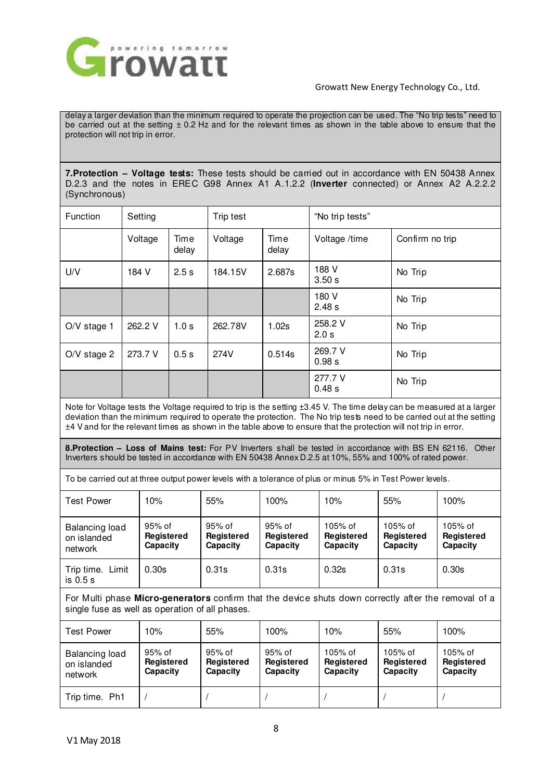

delay a larger deviation than the minimum required to operate the projection can be used. The "No trip tests" need to be carried out at the setting  $\pm$  0.2 Hz and for the relevant times as shown in the table above to ensure that the protection will not trip in error.

**7.Protection – Voltage tests:** These tests should be carried out in accordance with EN 50438 Annex D.2.3 and the notes in EREC G98 Annex A1 A.1.2.2 (**Inverter** connected) or Annex A2 A.2.2.2 (Synchronous)

| <b>Function</b> | Setting |                  | Trip test |                   | "No trip tests"   |                 |
|-----------------|---------|------------------|-----------|-------------------|-------------------|-----------------|
|                 | Voltage | Time<br>delay    | Voltage   | Time<br>delay     | Voltage /time     | Confirm no trip |
| U/V             | 184 V   | 2.5s             | 184.15V   | 2.687s            | 188 V<br>3.50s    | No Trip         |
|                 |         |                  |           |                   | 180 V<br>2.48 s   | No Trip         |
| $O/V$ stage 1   | 262.2 V | 1.0 <sub>s</sub> | 262.78V   | 1.02 <sub>S</sub> | 258.2 V<br>2.0 s  | No Trip         |
| $O/V$ stage 2   | 273.7 V | 0.5s             | 274V      | 0.514s            | 269.7 V<br>0.98 s | No Trip         |
|                 |         |                  |           |                   | 277.7 V<br>0.48 s | No Trip         |

Note for Voltage tests the Voltage required to trip is the setting ±3.45 V. The time delay can be measured at a larger deviation than the minimum required to operate the protection. The No trip tests need to be carried out at the setting ±4 V and for the relevant times as shown in the table above to ensure that the protection will not trip in error.

**8.Protection – Loss of Mains test:** For PV Inverters shall be tested in accordance with BS EN 62116. Other Inverters should be tested in accordance with EN 50438 Annex D.2.5 at 10%, 55% and 100% of rated power.

To be carried out at three output power levels with a tolerance of plus or minus 5% in Test Power levels.

| <b>Test Power</b>                        | 10%                                     | 55%                                     | 100%                                    | 10%                                        | 55%                                      | 100%                                       |
|------------------------------------------|-----------------------------------------|-----------------------------------------|-----------------------------------------|--------------------------------------------|------------------------------------------|--------------------------------------------|
| Balancing load<br>on islanded<br>network | 95% of<br><b>Registered</b><br>Capacity | 95% of<br><b>Registered</b><br>Capacity | 95% of<br><b>Registered</b><br>Capacity | $105%$ of<br><b>Registered</b><br>Capacity | 105% of<br><b>Registered</b><br>Capacity | $105%$ of<br><b>Registered</b><br>Capacity |
| Trip time. Limit<br>is 0.5 s             | 0.30 <sub>s</sub>                       | 0.31s                                   | 0.31s                                   | 0.32s                                      | 0.31s                                    | 0.30s                                      |

For Multi phase **Micro-generators** confirm that the device shuts down correctly after the removal of a single fuse as well as operation of all phases.

| Test Power                               | 10%                              | 55%                              | 100%                               | 10%                               | 55%                                 | 100%                                |
|------------------------------------------|----------------------------------|----------------------------------|------------------------------------|-----------------------------------|-------------------------------------|-------------------------------------|
| Balancing load<br>on islanded<br>network | 95% of<br>Registered<br>Capacity | 95% of<br>Registered<br>Capacity | $95%$ of<br>Registered<br>Capacity | 105% of<br>Registered<br>Capacity | $105%$ of<br>Registered<br>Capacity | $105%$ of<br>Registered<br>Capacity |
| Trip time. Ph1                           |                                  |                                  |                                    |                                   |                                     |                                     |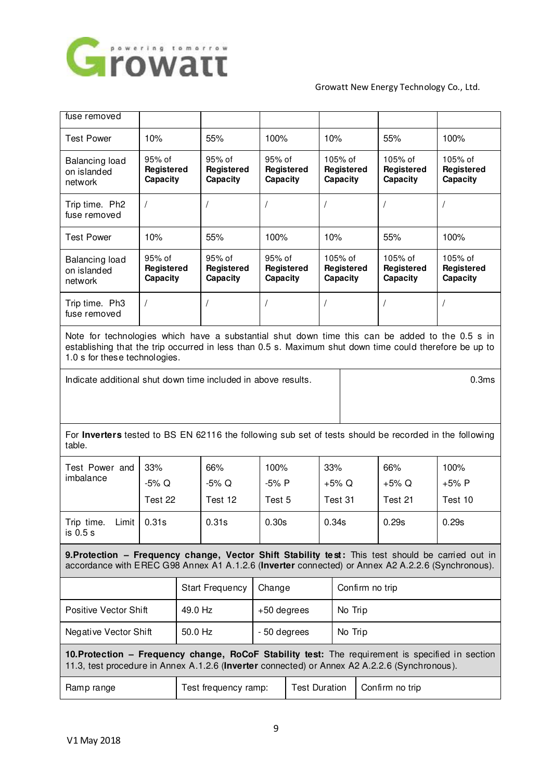

| fuse removed                                                                                                                                                                                                                                |                                  |         |                                  |                      |                                  |                                   |                                   |                 |                                   |                                   |
|---------------------------------------------------------------------------------------------------------------------------------------------------------------------------------------------------------------------------------------------|----------------------------------|---------|----------------------------------|----------------------|----------------------------------|-----------------------------------|-----------------------------------|-----------------|-----------------------------------|-----------------------------------|
| <b>Test Power</b>                                                                                                                                                                                                                           | 10%                              |         | 55%                              | 100%                 |                                  |                                   | 10%                               |                 | 55%                               | 100%                              |
| Balancing load<br>on islanded<br>network                                                                                                                                                                                                    | 95% of<br>Registered<br>Capacity |         | 95% of<br>Registered<br>Capacity |                      | 95% of<br>Registered<br>Capacity |                                   | 105% of<br>Registered<br>Capacity |                 | 105% of<br>Registered<br>Capacity | 105% of<br>Registered<br>Capacity |
| Trip time. Ph2<br>fuse removed                                                                                                                                                                                                              | $\sqrt{2}$                       |         | $\overline{1}$                   | $\prime$             |                                  | $\prime$                          |                                   |                 | $\prime$                          | $\sqrt{2}$                        |
| <b>Test Power</b>                                                                                                                                                                                                                           | 10%                              |         | 55%                              | 100%                 |                                  |                                   | 10%                               |                 | 55%                               | 100%                              |
| <b>Balancing load</b><br>on islanded<br>network                                                                                                                                                                                             | 95% of<br>Registered<br>Capacity |         | 95% of<br>Registered<br>Capacity | 95% of<br>Capacity   | Registered                       | 105% of<br>Registered<br>Capacity |                                   |                 | 105% of<br>Registered<br>Capacity | 105% of<br>Registered<br>Capacity |
| Trip time. Ph3<br>fuse removed                                                                                                                                                                                                              | $\sqrt{2}$                       |         |                                  |                      |                                  | $\prime$                          |                                   |                 | $\prime$                          |                                   |
| Note for technologies which have a substantial shut down time this can be added to the 0.5 s in<br>establishing that the trip occurred in less than 0.5 s. Maximum shut down time could therefore be up to<br>1.0 s for these technologies. |                                  |         |                                  |                      |                                  |                                   |                                   |                 |                                   |                                   |
| Indicate additional shut down time included in above results.<br>0.3ms                                                                                                                                                                      |                                  |         |                                  |                      |                                  |                                   |                                   |                 |                                   |                                   |
|                                                                                                                                                                                                                                             |                                  |         |                                  |                      |                                  |                                   |                                   |                 |                                   |                                   |
| For Inverters tested to BS EN 62116 the following sub set of tests should be recorded in the following<br>table.                                                                                                                            |                                  |         |                                  |                      |                                  |                                   |                                   |                 |                                   |                                   |
| Test Power and                                                                                                                                                                                                                              | 33%                              |         | 66%                              | 100%                 |                                  | 33%                               |                                   |                 | 66%                               | 100%                              |
| imbalance                                                                                                                                                                                                                                   | -5% Q                            |         | -5% Q                            | -5% P                |                                  | $+5\%$ Q                          |                                   |                 | $+5\%$ Q                          | $+5%P$                            |
|                                                                                                                                                                                                                                             | Test 22                          |         | Test 12                          |                      | Test 5                           |                                   | Test 31                           |                 | Test 21                           | Test 10                           |
| Trip time.<br>$Limit \midis 0.5 s$                                                                                                                                                                                                          | 0.31s                            |         | 0.31s                            | 0.30 <sub>s</sub>    |                                  | 0.34s                             |                                   |                 | 0.29s                             | 0.29s                             |
| 9. Protection - Frequency change, Vector Shift Stability test: This test should be carried out in<br>accordance with EREC G98 Annex A1 A.1.2.6 (Inverter connected) or Annex A2 A.2.2.6 (Synchronous).                                      |                                  |         |                                  |                      |                                  |                                   |                                   |                 |                                   |                                   |
|                                                                                                                                                                                                                                             |                                  |         | <b>Start Frequency</b>           |                      | Change                           |                                   | Confirm no trip                   |                 |                                   |                                   |
| Positive Vector Shift                                                                                                                                                                                                                       |                                  | 49.0 Hz |                                  |                      | $+50$ degrees                    |                                   | No Trip                           |                 |                                   |                                   |
| Negative Vector Shift                                                                                                                                                                                                                       |                                  | 50.0 Hz |                                  |                      | - 50 degrees                     |                                   | No Trip                           |                 |                                   |                                   |
| 10. Protection - Frequency change, RoCoF Stability test: The requirement is specified in section<br>11.3, test procedure in Annex A.1.2.6 (Inverter connected) or Annex A2 A.2.2.6 (Synchronous).                                           |                                  |         |                                  |                      |                                  |                                   |                                   |                 |                                   |                                   |
| Ramp range                                                                                                                                                                                                                                  | Test frequency ramp:             |         |                                  | <b>Test Duration</b> |                                  |                                   |                                   | Confirm no trip |                                   |                                   |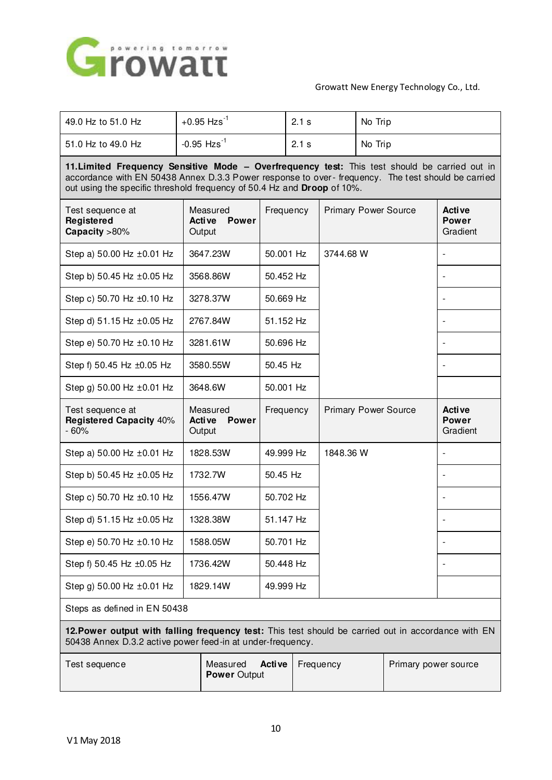

| 49.0 Hz to 51.0 Hz                                                                                                                                                                                                                                                             | $+0.95$ Hzs <sup>-1</sup> |                                              |           | 2.1 s     |           | No Trip |                             |                                    |  |
|--------------------------------------------------------------------------------------------------------------------------------------------------------------------------------------------------------------------------------------------------------------------------------|---------------------------|----------------------------------------------|-----------|-----------|-----------|---------|-----------------------------|------------------------------------|--|
| 51.0 Hz to 49.0 Hz                                                                                                                                                                                                                                                             | $-0.95$ Hzs <sup>-1</sup> |                                              |           | 2.1 s     |           | No Trip |                             |                                    |  |
| 11. Limited Frequency Sensitive Mode - Overfrequency test: This test should be carried out in<br>accordance with EN 50438 Annex D.3.3 Power response to over- frequency. The test should be carried<br>out using the specific threshold frequency of 50.4 Hz and Droop of 10%. |                           |                                              |           |           |           |         |                             |                                    |  |
| Test sequence at<br>Registered<br>Capacity >80%                                                                                                                                                                                                                                |                           | Measured<br>Active<br><b>Power</b><br>Output |           | Frequency |           |         | <b>Primary Power Source</b> | Active<br><b>Power</b><br>Gradient |  |
| Step a) 50.00 Hz ±0.01 Hz                                                                                                                                                                                                                                                      |                           | 3647.23W<br>50.001 Hz                        |           |           | 3744.68 W |         |                             |                                    |  |
| Step b) 50.45 Hz ±0.05 Hz                                                                                                                                                                                                                                                      |                           | 3568.86W                                     |           | 50.452 Hz |           |         |                             |                                    |  |
| Step c) 50.70 Hz ±0.10 Hz                                                                                                                                                                                                                                                      |                           | 3278.37W                                     |           | 50.669 Hz |           |         |                             |                                    |  |
| Step d) 51.15 Hz ±0.05 Hz                                                                                                                                                                                                                                                      |                           | 2767.84W                                     |           | 51.152 Hz |           |         |                             |                                    |  |
| Step e) 50.70 Hz ±0.10 Hz                                                                                                                                                                                                                                                      |                           | 3281.61W                                     |           | 50.696 Hz |           |         |                             |                                    |  |
| Step f) 50.45 Hz ±0.05 Hz                                                                                                                                                                                                                                                      |                           | 3580.55W                                     |           | 50.45 Hz  |           |         |                             |                                    |  |
| Step g) 50.00 Hz ±0.01 Hz                                                                                                                                                                                                                                                      | 3648.6W                   |                                              | 50.001 Hz |           |           |         |                             |                                    |  |
|                                                                                                                                                                                                                                                                                |                           |                                              |           |           |           |         |                             |                                    |  |
| Test sequence at<br><b>Registered Capacity 40%</b><br>$-60%$                                                                                                                                                                                                                   |                           | Measured<br>Active<br><b>Power</b><br>Output |           | Frequency |           |         | <b>Primary Power Source</b> | Active<br><b>Power</b><br>Gradient |  |
| Step a) 50.00 Hz ±0.01 Hz                                                                                                                                                                                                                                                      |                           | 1828.53W                                     |           | 49.999 Hz | 1848.36 W |         |                             |                                    |  |
| Step b) 50.45 Hz ±0.05 Hz                                                                                                                                                                                                                                                      |                           | 1732.7W                                      | 50.45 Hz  |           |           |         |                             |                                    |  |
| Step c) 50.70 Hz ±0.10 Hz                                                                                                                                                                                                                                                      |                           | 1556.47W                                     |           | 50.702 Hz |           |         |                             |                                    |  |
| Step d) 51.15 Hz ±0.05 Hz                                                                                                                                                                                                                                                      |                           | 1328.38W                                     |           | 51.147 Hz |           |         |                             |                                    |  |
| Step e) 50.70 Hz ±0.10 Hz                                                                                                                                                                                                                                                      |                           | 1588.05W                                     |           | 50.701 Hz |           |         |                             |                                    |  |
| Step f) 50.45 Hz ±0.05 Hz                                                                                                                                                                                                                                                      |                           | 1736.42W                                     |           | 50.448 Hz |           |         |                             |                                    |  |
| Step g) 50.00 Hz ±0.01 Hz                                                                                                                                                                                                                                                      |                           | 1829.14W                                     |           | 49.999 Hz |           |         |                             |                                    |  |
| Steps as defined in EN 50438                                                                                                                                                                                                                                                   |                           |                                              |           |           |           |         |                             |                                    |  |
| 12. Power output with falling frequency test: This test should be carried out in accordance with EN<br>50438 Annex D.3.2 active power feed-in at under-frequency.                                                                                                              |                           |                                              |           |           |           |         |                             |                                    |  |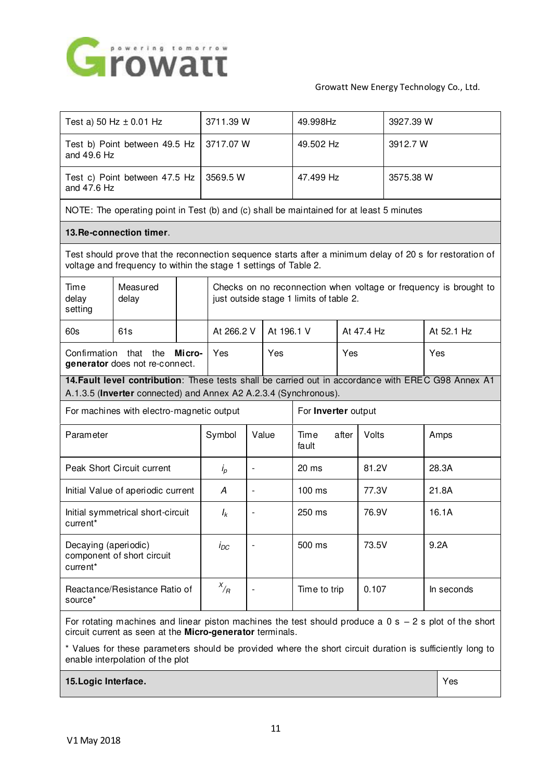

| Test a) 50 Hz $\pm$ 0.01 Hz                                                                                                                                                  |                   | 3711.39 W |                                                                                                              | 49.998Hz                 |           | 3927.39 W              |            |       |            |            |
|------------------------------------------------------------------------------------------------------------------------------------------------------------------------------|-------------------|-----------|--------------------------------------------------------------------------------------------------------------|--------------------------|-----------|------------------------|------------|-------|------------|------------|
| Test b) Point between 49.5 Hz<br>and 49.6 Hz                                                                                                                                 |                   | 3717.07 W |                                                                                                              | 49.502 Hz                |           | 3912.7 W               |            |       |            |            |
| Test c) Point between 47.5 Hz<br>and 47.6 Hz                                                                                                                                 |                   |           | 3569.5 W                                                                                                     |                          | 47.499 Hz |                        | 3575.38 W  |       |            |            |
| NOTE: The operating point in Test (b) and (c) shall be maintained for at least 5 minutes                                                                                     |                   |           |                                                                                                              |                          |           |                        |            |       |            |            |
| 13. Re-connection timer.                                                                                                                                                     |                   |           |                                                                                                              |                          |           |                        |            |       |            |            |
| Test should prove that the reconnection sequence starts after a minimum delay of 20 s for restoration of<br>voltage and frequency to within the stage 1 settings of Table 2. |                   |           |                                                                                                              |                          |           |                        |            |       |            |            |
| Time<br>delay<br>setting                                                                                                                                                     | Measured<br>delay |           | Checks on no reconnection when voltage or frequency is brought to<br>just outside stage 1 limits of table 2. |                          |           |                        |            |       |            |            |
| 60s                                                                                                                                                                          | 61s               |           |                                                                                                              | At 266.2 V<br>At 196.1 V |           |                        | At 47.4 Hz |       | At 52.1 Hz |            |
| Confirmation that the<br>Mi cro-<br>generator does not re-connect.                                                                                                           |                   |           | Yes<br>Yes                                                                                                   |                          |           | Yes                    |            |       |            | Yes        |
| 14. Fault level contribution: These tests shall be carried out in accordance with EREC G98 Annex A1<br>A.1.3.5 (Inverter connected) and Annex A2 A.2.3.4 (Synchronous).      |                   |           |                                                                                                              |                          |           |                        |            |       |            |            |
| For machines with electro-magnetic output                                                                                                                                    |                   |           |                                                                                                              | For Inverter output      |           |                        |            |       |            |            |
| Parameter                                                                                                                                                                    |                   |           | Symbol                                                                                                       | Value                    |           | Time<br>after<br>fault |            | Volts |            | Amps       |
| Peak Short Circuit current                                                                                                                                                   |                   |           | $i_p$                                                                                                        | $\overline{\phantom{a}}$ |           | 20 ms                  |            | 81.2V |            | 28.3A      |
| Initial Value of aperiodic current                                                                                                                                           |                   |           | A                                                                                                            | $\overline{\phantom{a}}$ |           | 100 ms                 |            | 77.3V |            | 21.8A      |
| Initial symmetrical short-circuit<br>current <sup>*</sup>                                                                                                                    |                   |           | $I_k$                                                                                                        | ÷,                       |           | 250 ms                 |            | 76.9V |            | 16.1A      |
| Decaying (aperiodic)<br>component of short circuit<br>current*                                                                                                               |                   |           | $I_{DC}$                                                                                                     |                          |           | 500 ms                 |            | 73.5V |            | 9.2A       |
| Reactance/Resistance Ratio of<br>source*                                                                                                                                     |                   |           | $x/$ <sub>R</sub>                                                                                            |                          |           | Time to trip           |            | 0.107 |            | In seconds |
| For rotating machines and linear piston machines the test should produce a $0 s - 2 s$ plot of the short<br>circuit current as seen at the Micro-generator terminals.        |                   |           |                                                                                                              |                          |           |                        |            |       |            |            |

\* Values for these parameters should be provided where the short circuit duration is sufficiently long to enable interpolation of the plot

**15. Logic Interface. Yes**